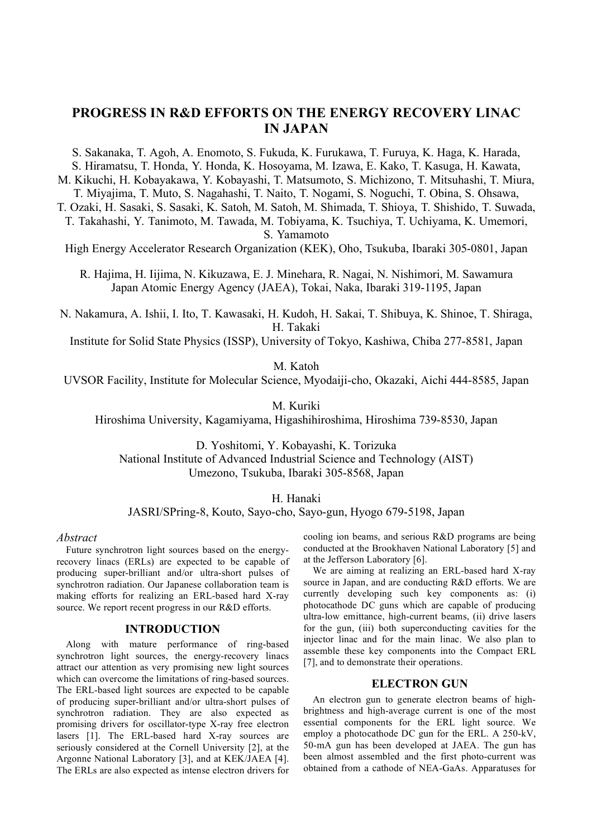# **PROGRESS IN R&D EFFORTS ON THE ENERGY RECOVERY LINAC IN JAPAN**

S. Sakanaka, T. Agoh, A. Enomoto, S. Fukuda, K. Furukawa, T. Furuya, K. Haga, K. Harada,

S. Hiramatsu, T. Honda, Y. Honda, K. Hosoyama, M. Izawa, E. Kako, T. Kasuga, H. Kawata,

M. Kikuchi, H. Kobayakawa, Y. Kobayashi, T. Matsumoto, S. Michizono, T. Mitsuhashi, T. Miura, T. Miyajima, T. Muto, S. Nagahashi, T. Naito, T. Nogami, S. Noguchi, T. Obina, S. Ohsawa,

T. Ozaki, H. Sasaki, S. Sasaki, K. Satoh, M. Satoh, M. Shimada, T. Shioya, T. Shishido, T. Suwada,

T. Takahashi, Y. Tanimoto, M. Tawada, M. Tobiyama, K. Tsuchiya, T. Uchiyama, K. Umemori, S. Yamamoto

High Energy Accelerator Research Organization (KEK), Oho, Tsukuba, Ibaraki 305-0801, Japan

R. Hajima, H. Iijima, N. Kikuzawa, E. J. Minehara, R. Nagai, N. Nishimori, M. Sawamura Japan Atomic Energy Agency (JAEA), Tokai, Naka, Ibaraki 319-1195, Japan

N. Nakamura, A. Ishii, I. Ito, T. Kawasaki, H. Kudoh, H. Sakai, T. Shibuya, K. Shinoe, T. Shiraga, H. Takaki

Institute for Solid State Physics (ISSP), University of Tokyo, Kashiwa, Chiba 277-8581, Japan

M. Katoh

UVSOR Facility, Institute for Molecular Science, Myodaiji-cho, Okazaki, Aichi 444-8585, Japan

M. Kuriki

Hiroshima University, Kagamiyama, Higashihiroshima, Hiroshima 739-8530, Japan

D. Yoshitomi, Y. Kobayashi, K. Torizuka National Institute of Advanced Industrial Science and Technology (AIST) Umezono, Tsukuba, Ibaraki 305-8568, Japan

H. Hanaki

JASRI/SPring-8, Kouto, Sayo-cho, Sayo-gun, Hyogo 679-5198, Japan

#### *Abstract*

Future synchrotron light sources based on the energyrecovery linacs (ERLs) are expected to be capable of producing super-brilliant and/or ultra-short pulses of synchrotron radiation. Our Japanese collaboration team is making efforts for realizing an ERL-based hard X-ray source. We report recent progress in our R&D efforts.

## **INTRODUCTION**

Along with mature performance of ring-based synchrotron light sources, the energy-recovery linacs attract our attention as very promising new light sources which can overcome the limitations of ring-based sources. The ERL-based light sources are expected to be capable of producing super-brilliant and/or ultra-short pulses of synchrotron radiation. They are also expected as promising drivers for oscillator-type X-ray free electron lasers [1]. The ERL-based hard X-ray sources are seriously considered at the Cornell University [2], at the Argonne National Laboratory [3], and at KEK/JAEA [4]. The ERLs are also expected as intense electron drivers for

cooling ion beams, and serious R&D programs are being conducted at the Brookhaven National Laboratory [5] and at the Jefferson Laboratory [6].

We are aiming at realizing an ERL-based hard X-ray source in Japan, and are conducting R&D efforts. We are currently developing such key components as: (i) photocathode DC guns which are capable of producing ultra-low emittance, high-current beams, (ii) drive lasers for the gun, (iii) both superconducting cavities for the injector linac and for the main linac. We also plan to assemble these key components into the Compact ERL [7], and to demonstrate their operations.

## **ELECTRON GUN**

An electron gun to generate electron beams of highbrightness and high-average current is one of the most essential components for the ERL light source. We employ a photocathode DC gun for the ERL. A 250-kV, 50-mA gun has been developed at JAEA. The gun has been almost assembled and the first photo-current was obtained from a cathode of NEA-GaAs. Apparatuses for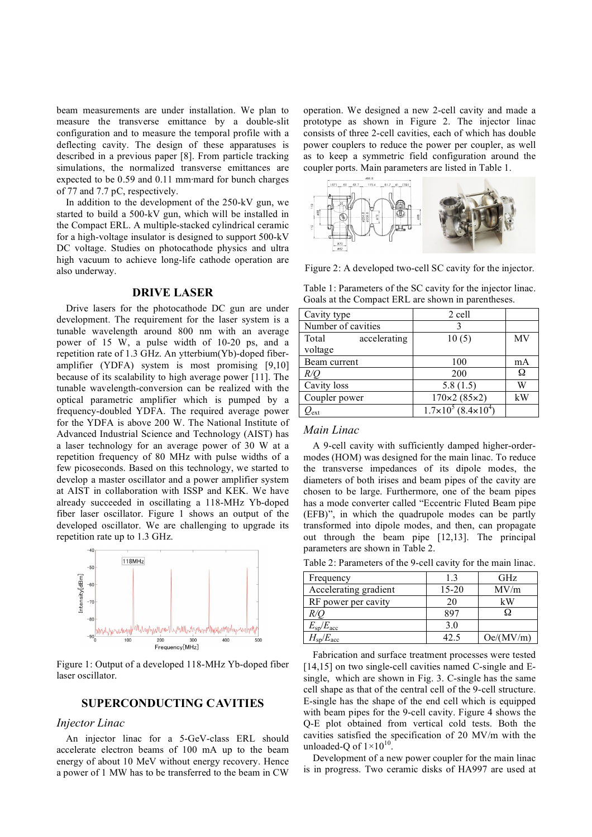beam measurements are under installation. We plan to measure the transverse emittance by a double-slit configuration and to measure the temporal profile with a deflecting cavity. The design of these apparatuses is described in a previous paper [8]. From particle tracking simulations, the normalized transverse emittances are expected to be  $0.59$  and  $0.11$  mm mard for bunch charges of 77 and 7.7 pC, respectively.

In addition to the development of the 250-kV gun, we started to build a 500-kV gun, which will be installed in the Compact ERL. A multiple-stacked cylindrical ceramic for a high-voltage insulator is designed to support 500-kV DC voltage. Studies on photocathode physics and ultra high vacuum to achieve long-life cathode operation are also underway.

#### **DRIVE LASER**

Drive lasers for the photocathode DC gun are under development. The requirement for the laser system is a tunable wavelength around 800 nm with an average power of 15 W, a pulse width of 10-20 ps, and a repetition rate of 1.3 GHz. An ytterbium(Yb)-doped fiberamplifier (YDFA) system is most promising [9,10] because of its scalability to high average power [11]. The tunable wavelength-conversion can be realized with the optical parametric amplifier which is pumped by a frequency-doubled YDFA. The required average power for the YDFA is above 200 W. The National Institute of Advanced Industrial Science and Technology (AIST) has a laser technology for an average power of 30 W at a repetition frequency of 80 MHz with pulse widths of a few picoseconds. Based on this technology, we started to develop a master oscillator and a power amplifier system at AIST in collaboration with ISSP and KEK. We have already succeeded in oscillating a 118-MHz Yb-doped fiber laser oscillator. Figure 1 shows an output of the developed oscillator. We are challenging to upgrade its repetition rate up to 1.3 GHz.



Figure 1: Output of a developed 118-MHz Yb-doped fiber laser oscillator.

## **SUPERCONDUCTING CAVITIES**

## *Injector Linac*

An injector linac for a 5-GeV-class ERL should accelerate electron beams of 100 mA up to the beam energy of about 10 MeV without energy recovery. Hence a power of 1 MW has to be transferred to the beam in CW operation. We designed a new 2-cell cavity and made a prototype as shown in Figure 2. The injector linac consists of three 2-cell cavities, each of which has double power couplers to reduce the power per coupler, as well as to keep a symmetric field configuration around the coupler ports. Main parameters are listed in Table 1.



Figure 2: A developed two-cell SC cavity for the injector.

Table 1: Parameters of the SC cavity for the injector linac. Goals at the Compact ERL are shown in parentheses.

| Cavity type             | 2 cell                                   |    |
|-------------------------|------------------------------------------|----|
| Number of cavities      |                                          |    |
| Total<br>accelerating   | 10(5)                                    | MV |
| voltage                 |                                          |    |
| Beam current            | 100                                      | mA |
| R/C                     | 200                                      | Ω  |
| Cavity loss             | 5.8(1.5)                                 | W  |
| Coupler power           | $170 \times 2 (85 \times 2)$             | kW |
| $\prime$ <sub>ext</sub> | $1.7\times10^{5}$ (8.4×10 <sup>4</sup> ) |    |

# *Main Linac*

A 9-cell cavity with sufficiently damped higher-ordermodes (HOM) was designed for the main linac. To reduce the transverse impedances of its dipole modes, the diameters of both irises and beam pipes of the cavity are chosen to be large. Furthermore, one of the beam pipes has a mode converter called "Eccentric Fluted Beam pipe (EFB)", in which the quadrupole modes can be partly transformed into dipole modes, and then, can propagate out through the beam pipe [12,13]. The principal parameters are shown in Table 2.

Table 2: Parameters of the 9-cell cavity for the main linac.

| Frequency                | 13        | GHz       |
|--------------------------|-----------|-----------|
| Accelerating gradient    | $15 - 20$ | MV/m      |
| RF power per cavity      | 20        | kW        |
| R/U                      | 897       |           |
| $E_{\rm sp}/E_{\rm acc}$ | 3.0       |           |
| $H_{\rm sp}/E_{\rm acc}$ | 42.5      | Oe/(MV/m) |

Fabrication and surface treatment processes were tested [14,15] on two single-cell cavities named C-single and Esingle, which are shown in Fig. 3. C-single has the same cell shape as that of the central cell of the 9-cell structure. E-single has the shape of the end cell which is equipped with beam pipes for the 9-cell cavity. Figure 4 shows the Q-E plot obtained from vertical cold tests. Both the cavities satisfied the specification of 20 MV/m with the unloaded-Q of  $1 \times 10^{10}$ .

Development of a new power coupler for the main linac is in progress. Two ceramic disks of HA997 are used at